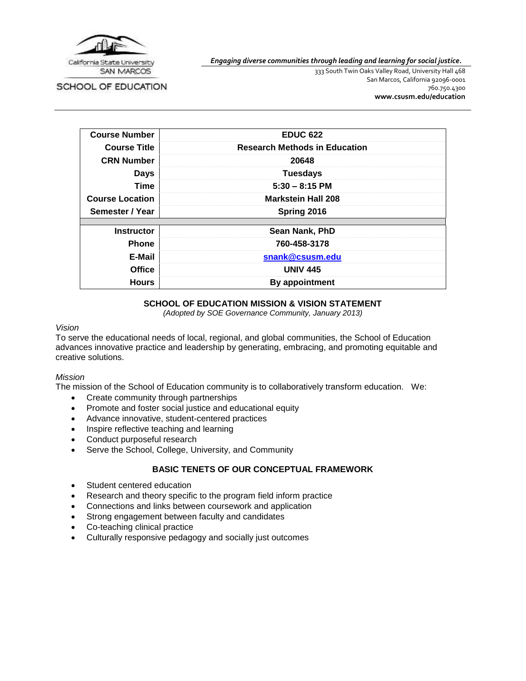

SCHOOL OF EDUCATION

*Engaging diverse communities through leading and learning for social justice.*

333 South Twin Oaks Valley Road, University Hall 468 San Marcos, California 92096-0001 760.750.4300 **[www.csusm.edu/education](http://www.csusm.edu/education)**

| <b>Course Number</b>   | <b>EDUC 622</b>                      |
|------------------------|--------------------------------------|
| <b>Course Title</b>    | <b>Research Methods in Education</b> |
| <b>CRN Number</b>      | 20648                                |
| <b>Days</b>            | <b>Tuesdays</b>                      |
| <b>Time</b>            | $5:30 - 8:15$ PM                     |
| <b>Course Location</b> | <b>Markstein Hall 208</b>            |
| Semester / Year        | Spring 2016                          |
|                        |                                      |
| <b>Instructor</b>      | Sean Nank, PhD                       |
| <b>Phone</b>           | 760-458-3178                         |
| E-Mail                 | snank@csusm.edu                      |
| <b>Office</b>          | <b>UNIV 445</b>                      |
| <b>Hours</b>           | <b>By appointment</b>                |

## **SCHOOL OF EDUCATION MISSION & VISION STATEMENT**

*(Adopted by SOE Governance Community, January 2013)*

#### *Vision*

To serve the educational needs of local, regional, and global communities, the School of Education advances innovative practice and leadership by generating, embracing, and promoting equitable and creative solutions.

### *Mission*

The mission of the School of Education community is to collaboratively transform education. We:

- Create community through partnerships
- Promote and foster social justice and educational equity
- Advance innovative, student-centered practices
- Inspire reflective teaching and learning
- Conduct purposeful research
- Serve the School, College, University, and Community

# **BASIC TENETS OF OUR CONCEPTUAL FRAMEWORK**

- Student centered education
- Research and theory specific to the program field inform practice
- Connections and links between coursework and application
- Strong engagement between faculty and candidates
- Co-teaching clinical practice
- Culturally responsive pedagogy and socially just outcomes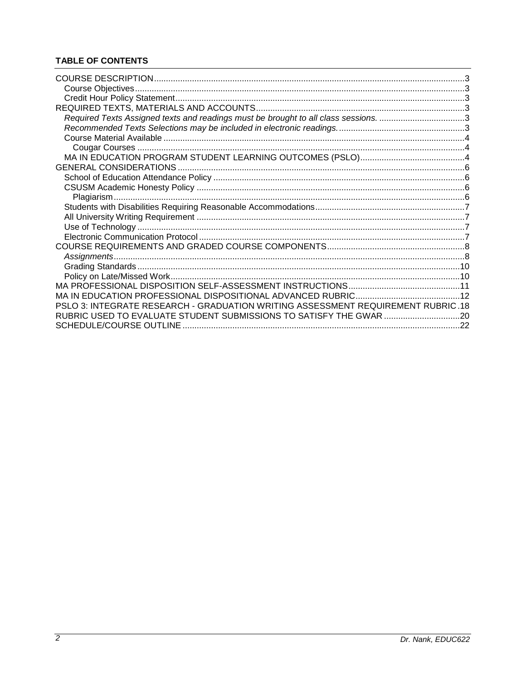# **TABLE OF CONTENTS**

| Required Texts Assigned texts and readings must be brought to all class sessions. 3 |  |
|-------------------------------------------------------------------------------------|--|
|                                                                                     |  |
|                                                                                     |  |
|                                                                                     |  |
|                                                                                     |  |
|                                                                                     |  |
|                                                                                     |  |
|                                                                                     |  |
|                                                                                     |  |
|                                                                                     |  |
|                                                                                     |  |
|                                                                                     |  |
|                                                                                     |  |
|                                                                                     |  |
|                                                                                     |  |
|                                                                                     |  |
|                                                                                     |  |
|                                                                                     |  |
|                                                                                     |  |
| PSLO 3: INTEGRATE RESEARCH - GRADUATION WRITING ASSESSMENT REQUIREMENT RUBRIC.18    |  |
| RUBRIC USED TO EVALUATE STUDENT SUBMISSIONS TO SATISFY THE GWAR 20                  |  |
|                                                                                     |  |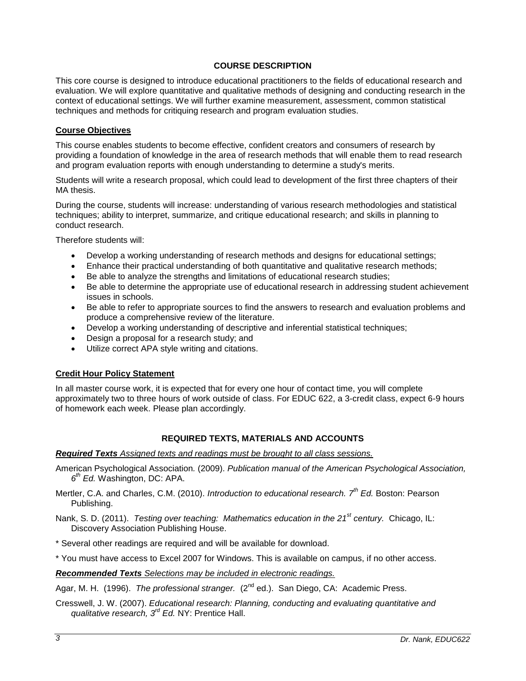## **COURSE DESCRIPTION**

<span id="page-2-0"></span>This core course is designed to introduce educational practitioners to the fields of educational research and evaluation. We will explore quantitative and qualitative methods of designing and conducting research in the context of educational settings. We will further examine measurement, assessment, common statistical techniques and methods for critiquing research and program evaluation studies.

### <span id="page-2-1"></span>**Course Objectives**

This course enables students to become effective, confident creators and consumers of research by providing a foundation of knowledge in the area of research methods that will enable them to read research and program evaluation reports with enough understanding to determine a study's merits.

Students will write a research proposal, which could lead to development of the first three chapters of their MA thesis.

During the course, students will increase: understanding of various research methodologies and statistical techniques; ability to interpret, summarize, and critique educational research; and skills in planning to conduct research.

Therefore students will:

- Develop a working understanding of research methods and designs for educational settings;
- Enhance their practical understanding of both quantitative and qualitative research methods;
- Be able to analyze the strengths and limitations of educational research studies;
- Be able to determine the appropriate use of educational research in addressing student achievement issues in schools.
- Be able to refer to appropriate sources to find the answers to research and evaluation problems and produce a comprehensive review of the literature.
- Develop a working understanding of descriptive and inferential statistical techniques;
- Design a proposal for a research study; and
- Utilize correct APA style writing and citations.

### <span id="page-2-2"></span>**Credit Hour Policy Statement**

In all master course work, it is expected that for every one hour of contact time, you will complete approximately two to three hours of work outside of class. For EDUC 622, a 3-credit class, expect 6-9 hours of homework each week. Please plan accordingly.

### **REQUIRED TEXTS, MATERIALS AND ACCOUNTS**

#### <span id="page-2-4"></span><span id="page-2-3"></span>*Required Texts Assigned texts and readings must be brought to all class sessions.*

- American Psychological Association*.* (2009). *Publication manual of the American Psychological Association, 6 th Ed.* Washington, DC: APA.
- Mertler, C.A. and Charles, C.M. (2010). *Introduction to educational research. 7th Ed.* Boston: Pearson Publishing.

Nank, S. D. (2011). *Testing over teaching: Mathematics education in the 21st century.* Chicago, IL: Discovery Association Publishing House.

\* Several other readings are required and will be available for download.

\* You must have access to Excel 2007 for Windows. This is available on campus, if no other access.

<span id="page-2-5"></span>*Recommended Texts Selections may be included in electronic readings.* 

Agar, M. H. (1996). *The professional stranger.* (2<sup>nd</sup> ed.). San Diego, CA: Academic Press.

Cresswell, J. W. (2007). *Educational research: Planning, conducting and evaluating quantitative and qualitative research, 3rd Ed.* NY: Prentice Hall.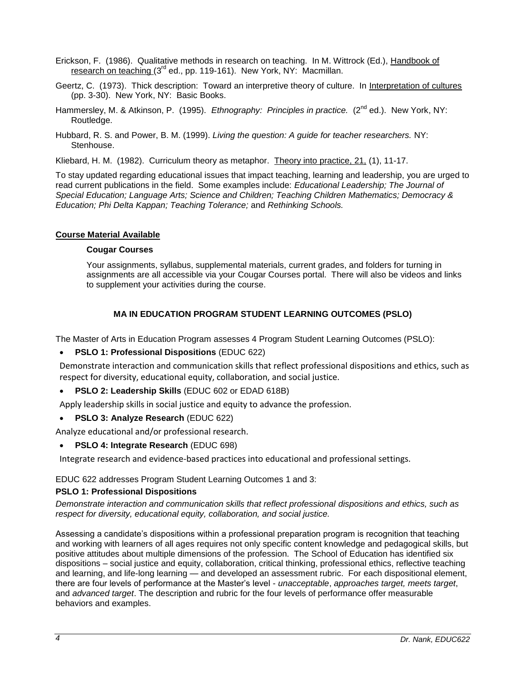- Erickson, F. (1986). Qualitative methods in research on teaching. In M. Wittrock (Ed.), Handbook of research on teaching (3<sup>rd</sup> ed., pp. 119-161). New York, NY: Macmillan.
- Geertz, C. (1973). Thick description: Toward an interpretive theory of culture. In Interpretation of cultures (pp. 3-30). New York, NY: Basic Books.
- Hammersley, M. & Atkinson, P. (1995). *Ethnography: Principles in practice.* (2<sup>nd</sup> ed.). New York, NY: Routledge.
- Hubbard, R. S. and Power, B. M. (1999). *Living the question: A guide for teacher researchers.* NY: Stenhouse.
- Kliebard, H. M. (1982). Curriculum theory as metaphor. Theory into practice, 21, (1), 11-17.

To stay updated regarding educational issues that impact teaching, learning and leadership, you are urged to read current publications in the field. Some examples include: *Educational Leadership; The Journal of Special Education; Language Arts; Science and Children; Teaching Children Mathematics; Democracy & Education; Phi Delta Kappan; Teaching Tolerance;* and *Rethinking Schools.*

## <span id="page-3-1"></span><span id="page-3-0"></span>**Course Material Available**

## **Cougar Courses**

Your assignments, syllabus, supplemental materials, current grades, and folders for turning in assignments are all accessible via your Cougar Courses portal. There will also be videos and links to supplement your activities during the course.

# **MA IN EDUCATION PROGRAM STUDENT LEARNING OUTCOMES (PSLO)**

<span id="page-3-2"></span>The Master of Arts in Education Program assesses 4 Program Student Learning Outcomes (PSLO):

## **PSLO 1: Professional Dispositions** (EDUC 622)

Demonstrate interaction and communication skills that reflect professional dispositions and ethics, such as respect for diversity, educational equity, collaboration, and social justice.

**PSLO 2: Leadership Skills** (EDUC 602 or EDAD 618B)

Apply leadership skills in social justice and equity to advance the profession.

**PSLO 3: Analyze Research** (EDUC 622)

Analyze educational and/or professional research.

**PSLO 4: Integrate Research** (EDUC 698)

Integrate research and evidence-based practices into educational and professional settings.

## EDUC 622 addresses Program Student Learning Outcomes 1 and 3:

## **PSLO 1: Professional Dispositions**

*Demonstrate interaction and communication skills that reflect professional dispositions and ethics, such as respect for diversity, educational equity, collaboration, and social justice.*

Assessing a candidate's dispositions within a professional preparation program is recognition that teaching and working with learners of all ages requires not only specific content knowledge and pedagogical skills, but positive attitudes about multiple dimensions of the profession. The School of Education has identified six dispositions – social justice and equity, collaboration, critical thinking, professional ethics, reflective teaching and learning, and life-long learning — and developed an assessment rubric. For each dispositional element, there are four levels of performance at the Master's level - *unacceptable*, *approaches target, meets target*, and *advanced target*. The description and rubric for the four levels of performance offer measurable behaviors and examples.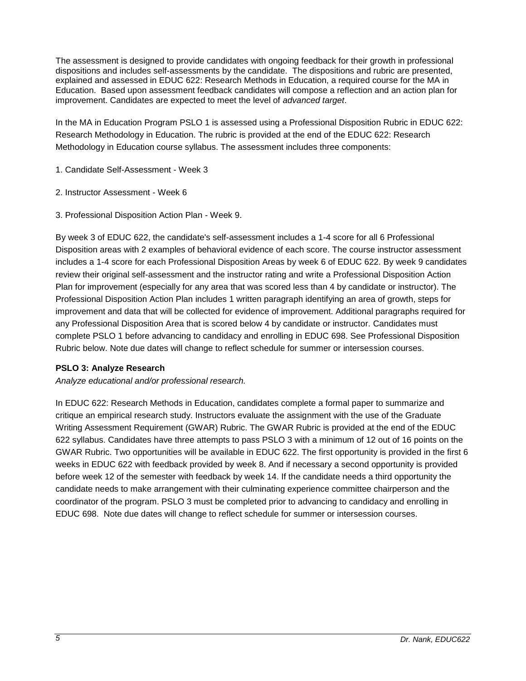The assessment is designed to provide candidates with ongoing feedback for their growth in professional dispositions and includes self-assessments by the candidate. The dispositions and rubric are presented, explained and assessed in EDUC 622: Research Methods in Education, a required course for the MA in Education. Based upon assessment feedback candidates will compose a reflection and an action plan for improvement. Candidates are expected to meet the level of *advanced target*.

In the MA in Education Program PSLO 1 is assessed using a Professional Disposition Rubric in EDUC 622: Research Methodology in Education. The rubric is provided at the end of the EDUC 622: Research Methodology in Education course syllabus. The assessment includes three components:

- 1. Candidate Self-Assessment Week 3
- 2. Instructor Assessment Week 6
- 3. Professional Disposition Action Plan Week 9.

By week 3 of EDUC 622, the candidate's self-assessment includes a 1-4 score for all 6 Professional Disposition areas with 2 examples of behavioral evidence of each score. The course instructor assessment includes a 1-4 score for each Professional Disposition Areas by week 6 of EDUC 622. By week 9 candidates review their original self-assessment and the instructor rating and write a Professional Disposition Action Plan for improvement (especially for any area that was scored less than 4 by candidate or instructor). The Professional Disposition Action Plan includes 1 written paragraph identifying an area of growth, steps for improvement and data that will be collected for evidence of improvement. Additional paragraphs required for any Professional Disposition Area that is scored below 4 by candidate or instructor. Candidates must complete PSLO 1 before advancing to candidacy and enrolling in EDUC 698. See Professional Disposition Rubric below. Note due dates will change to reflect schedule for summer or intersession courses.

## **PSLO 3: Analyze Research**

*Analyze educational and/or professional research.*

In EDUC 622: Research Methods in Education, candidates complete a formal paper to summarize and critique an empirical research study. Instructors evaluate the assignment with the use of the Graduate Writing Assessment Requirement (GWAR) Rubric. The GWAR Rubric is provided at the end of the EDUC 622 syllabus. Candidates have three attempts to pass PSLO 3 with a minimum of 12 out of 16 points on the GWAR Rubric. Two opportunities will be available in EDUC 622. The first opportunity is provided in the first 6 weeks in EDUC 622 with feedback provided by week 8. And if necessary a second opportunity is provided before week 12 of the semester with feedback by week 14. If the candidate needs a third opportunity the candidate needs to make arrangement with their culminating experience committee chairperson and the coordinator of the program. PSLO 3 must be completed prior to advancing to candidacy and enrolling in EDUC 698. Note due dates will change to reflect schedule for summer or intersession courses.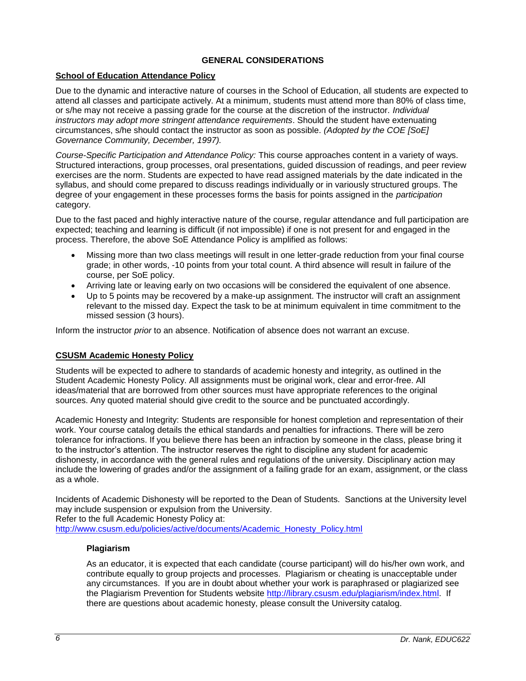# **GENERAL CONSIDERATIONS**

## <span id="page-5-1"></span><span id="page-5-0"></span>**School of Education Attendance Policy**

Due to the dynamic and interactive nature of courses in the School of Education, all students are expected to attend all classes and participate actively. At a minimum, students must attend more than 80% of class time, or s/he may not receive a passing grade for the course at the discretion of the instructor. *Individual instructors may adopt more stringent attendance requirements*. Should the student have extenuating circumstances, s/he should contact the instructor as soon as possible. *(Adopted by the COE [SoE] Governance Community, December, 1997).*

*Course-Specific Participation and Attendance Policy:* This course approaches content in a variety of ways. Structured interactions, group processes, oral presentations, guided discussion of readings, and peer review exercises are the norm. Students are expected to have read assigned materials by the date indicated in the syllabus, and should come prepared to discuss readings individually or in variously structured groups. The degree of your engagement in these processes forms the basis for points assigned in the *participation* category.

Due to the fast paced and highly interactive nature of the course, regular attendance and full participation are expected; teaching and learning is difficult (if not impossible) if one is not present for and engaged in the process. Therefore, the above SoE Attendance Policy is amplified as follows:

- Missing more than two class meetings will result in one letter-grade reduction from your final course grade; in other words, -10 points from your total count. A third absence will result in failure of the course, per SoE policy.
- Arriving late or leaving early on two occasions will be considered the equivalent of one absence.
- Up to 5 points may be recovered by a make-up assignment. The instructor will craft an assignment relevant to the missed day. Expect the task to be at minimum equivalent in time commitment to the missed session (3 hours).

Inform the instructor *prior* to an absence. Notification of absence does not warrant an excuse.

## <span id="page-5-2"></span>**CSUSM Academic Honesty Policy**

Students will be expected to adhere to standards of academic honesty and integrity, as outlined in the Student Academic Honesty Policy. All assignments must be original work, clear and error-free. All ideas/material that are borrowed from other sources must have appropriate references to the original sources. Any quoted material should give credit to the source and be punctuated accordingly.

Academic Honesty and Integrity: Students are responsible for honest completion and representation of their work. Your course catalog details the ethical standards and penalties for infractions. There will be zero tolerance for infractions. If you believe there has been an infraction by someone in the class, please bring it to the instructor's attention. The instructor reserves the right to discipline any student for academic dishonesty, in accordance with the general rules and regulations of the university. Disciplinary action may include the lowering of grades and/or the assignment of a failing grade for an exam, assignment, or the class as a whole.

Incidents of Academic Dishonesty will be reported to the Dean of Students. Sanctions at the University level may include suspension or expulsion from the University.

Refer to the full Academic Honesty Policy at:

<span id="page-5-3"></span>[http://www.csusm.edu/policies/active/documents/Academic\\_Honesty\\_Policy.html](http://www.csusm.edu/policies/active/documents/Academic_Honesty_Policy.html)

## **Plagiarism**

As an educator, it is expected that each candidate (course participant) will do his/her own work, and contribute equally to group projects and processes. Plagiarism or cheating is unacceptable under any circumstances. If you are in doubt about whether your work is paraphrased or plagiarized see the Plagiarism Prevention for Students website [http://library.csusm.edu/plagiarism/index.html.](http://library.csusm.edu/plagiarism/index.html) If there are questions about academic honesty, please consult the University catalog.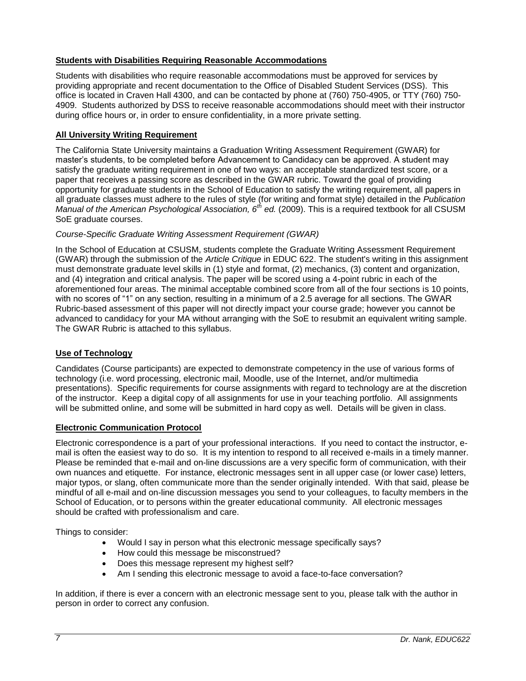## <span id="page-6-0"></span>**Students with Disabilities Requiring Reasonable Accommodations**

Students with disabilities who require reasonable accommodations must be approved for services by providing appropriate and recent documentation to the Office of Disabled Student Services (DSS). This office is located in Craven Hall 4300, and can be contacted by phone at (760) 750-4905, or TTY (760) 750- 4909. Students authorized by DSS to receive reasonable accommodations should meet with their instructor during office hours or, in order to ensure confidentiality, in a more private setting.

# <span id="page-6-1"></span>**All University Writing Requirement**

The California State University maintains a Graduation Writing Assessment Requirement (GWAR) for master's students, to be completed before Advancement to Candidacy can be approved. A student may satisfy the graduate writing requirement in one of two ways: an acceptable standardized test score, or a paper that receives a passing score as described in the GWAR rubric. Toward the goal of providing opportunity for graduate students in the School of Education to satisfy the writing requirement, all papers in all graduate classes must adhere to the rules of style (for writing and format style) detailed in the *Publication Manual of the American Psychological Association, 6th ed.* (2009). This is a required textbook for all CSUSM SoE graduate courses.

# *Course-Specific Graduate Writing Assessment Requirement (GWAR)*

In the School of Education at CSUSM, students complete the Graduate Writing Assessment Requirement (GWAR) through the submission of the *Article Critique* in EDUC 622. The student's writing in this assignment must demonstrate graduate level skills in (1) style and format, (2) mechanics, (3) content and organization, and (4) integration and critical analysis. The paper will be scored using a 4-point rubric in each of the aforementioned four areas. The minimal acceptable combined score from all of the four sections is 10 points, with no scores of "1" on any section, resulting in a minimum of a 2.5 average for all sections. The GWAR Rubric-based assessment of this paper will not directly impact your course grade; however you cannot be advanced to candidacy for your MA without arranging with the SoE to resubmit an equivalent writing sample. The GWAR Rubric is attached to this syllabus.

## <span id="page-6-2"></span>**Use of Technology**

Candidates (Course participants) are expected to demonstrate competency in the use of various forms of technology (i.e. word processing, electronic mail, Moodle, use of the Internet, and/or multimedia presentations). Specific requirements for course assignments with regard to technology are at the discretion of the instructor. Keep a digital copy of all assignments for use in your teaching portfolio. All assignments will be submitted online, and some will be submitted in hard copy as well. Details will be given in class.

## <span id="page-6-3"></span>**Electronic Communication Protocol**

Electronic correspondence is a part of your professional interactions. If you need to contact the instructor, email is often the easiest way to do so. It is my intention to respond to all received e-mails in a timely manner. Please be reminded that e-mail and on-line discussions are a very specific form of communication, with their own nuances and etiquette. For instance, electronic messages sent in all upper case (or lower case) letters, major typos, or slang, often communicate more than the sender originally intended. With that said, please be mindful of all e-mail and on-line discussion messages you send to your colleagues, to faculty members in the School of Education, or to persons within the greater educational community. All electronic messages should be crafted with professionalism and care.

Things to consider:

- Would I say in person what this electronic message specifically says?
- How could this message be misconstrued?
- Does this message represent my highest self?
- Am I sending this electronic message to avoid a face-to-face conversation?

In addition, if there is ever a concern with an electronic message sent to you, please talk with the author in person in order to correct any confusion.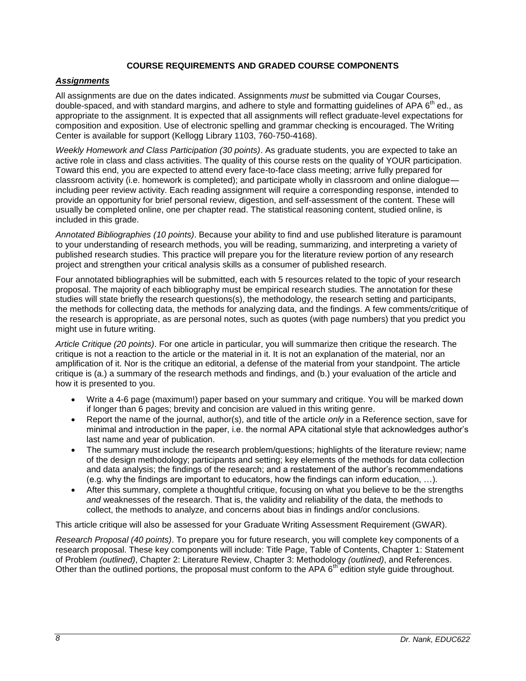## **COURSE REQUIREMENTS AND GRADED COURSE COMPONENTS**

## <span id="page-7-1"></span><span id="page-7-0"></span>*Assignments*

All assignments are due on the dates indicated. Assignments *must* be submitted via Cougar Courses, double-spaced, and with standard margins, and adhere to style and formatting guidelines of APA 6<sup>th</sup> ed., as appropriate to the assignment. It is expected that all assignments will reflect graduate-level expectations for composition and exposition. Use of electronic spelling and grammar checking is encouraged. The Writing Center is available for support (Kellogg Library 1103, 760-750-4168).

*Weekly Homework and Class Participation (30 points)*. As graduate students, you are expected to take an active role in class and class activities. The quality of this course rests on the quality of YOUR participation. Toward this end, you are expected to attend every face-to-face class meeting; arrive fully prepared for classroom activity (i.e. homework is completed); and participate wholly in classroom and online dialogue including peer review activity. Each reading assignment will require a corresponding response, intended to provide an opportunity for brief personal review, digestion, and self-assessment of the content. These will usually be completed online, one per chapter read. The statistical reasoning content, studied online, is included in this grade.

*Annotated Bibliographies (10 points)*. Because your ability to find and use published literature is paramount to your understanding of research methods, you will be reading, summarizing, and interpreting a variety of published research studies. This practice will prepare you for the literature review portion of any research project and strengthen your critical analysis skills as a consumer of published research.

Four annotated bibliographies will be submitted, each with 5 resources related to the topic of your research proposal. The majority of each bibliography must be empirical research studies. The annotation for these studies will state briefly the research questions(s), the methodology, the research setting and participants, the methods for collecting data, the methods for analyzing data, and the findings. A few comments/critique of the research is appropriate, as are personal notes, such as quotes (with page numbers) that you predict you might use in future writing.

*Article Critique (20 points)*. For one article in particular, you will summarize then critique the research. The critique is not a reaction to the article or the material in it. It is not an explanation of the material, nor an amplification of it. Nor is the critique an editorial, a defense of the material from your standpoint. The article critique is (a.) a summary of the research methods and findings, and (b.) your evaluation of the article and how it is presented to you.

- Write a 4-6 page (maximum!) paper based on your summary and critique. You will be marked down if longer than 6 pages; brevity and concision are valued in this writing genre.
- Report the name of the journal, author(s), and title of the article *only* in a Reference section, save for minimal and introduction in the paper, i.e. the normal APA citational style that acknowledges author's last name and year of publication.
- The summary must include the research problem/questions; highlights of the literature review; name of the design methodology; participants and setting; key elements of the methods for data collection and data analysis; the findings of the research; and a restatement of the author's recommendations (e.g. why the findings are important to educators, how the findings can inform education, …).
- After this summary, complete a thoughtful critique, focusing on what you believe to be the strengths *and* weaknesses of the research. That is, the validity and reliability of the data, the methods to collect, the methods to analyze, and concerns about bias in findings and/or conclusions.

This article critique will also be assessed for your Graduate Writing Assessment Requirement (GWAR).

*Research Proposal (40 points)*. To prepare you for future research, you will complete key components of a research proposal. These key components will include: Title Page, Table of Contents, Chapter 1: Statement of Problem *(outlined)*, Chapter 2: Literature Review, Chapter 3: Methodology *(outlined)*, and References. Other than the outlined portions, the proposal must conform to the APA 6<sup>th</sup> edition style guide throughout.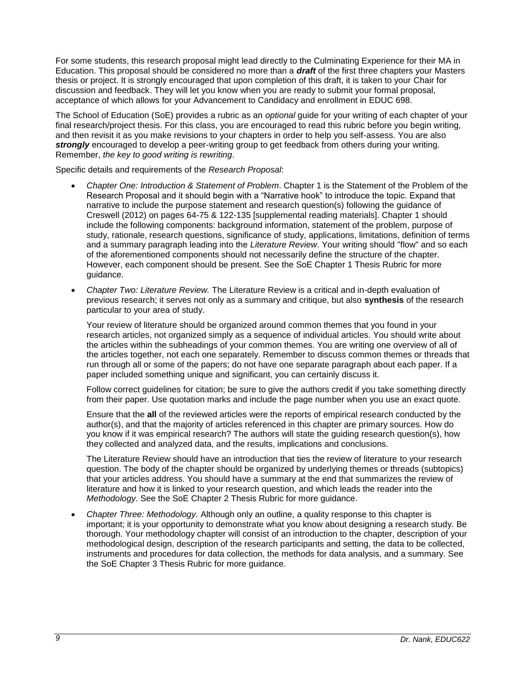For some students, this research proposal might lead directly to the Culminating Experience for their MA in Education. This proposal should be considered no more than a *draft* of the first three chapters your Masters thesis or project. It is strongly encouraged that upon completion of this draft, it is taken to your Chair for discussion and feedback. They will let you know when you are ready to submit your formal proposal, acceptance of which allows for your Advancement to Candidacy and enrollment in EDUC 698.

The School of Education (SoE) provides a rubric as an *optional* guide for your writing of each chapter of your final research/project thesis. For this class, you are encouraged to read this rubric before you begin writing, and then revisit it as you make revisions to your chapters in order to help you self-assess. You are also *strongly* encouraged to develop a peer-writing group to get feedback from others during your writing. Remember, *the key to good writing is rewriting*.

Specific details and requirements of the *Research Proposal*:

- *Chapter One: Introduction & Statement of Problem*. Chapter 1 is the Statement of the Problem of the Research Proposal and it should begin with a "Narrative hook" to introduce the topic. Expand that narrative to include the purpose statement and research question(s) following the guidance of Creswell (2012) on pages 64-75 & 122-135 [supplemental reading materials]. Chapter 1 should include the following components: background information, statement of the problem, purpose of study, rationale, research questions, significance of study, applications, limitations, definition of terms and a summary paragraph leading into the *Literature Review*. Your writing should "flow" and so each of the aforementioned components should not necessarily define the structure of the chapter. However, each component should be present. See the SoE Chapter 1 Thesis Rubric for more guidance.
- *Chapter Two: Literature Review.* The Literature Review is a critical and in-depth evaluation of previous research; it serves not only as a summary and critique, but also **synthesis** of the research particular to your area of study.

Your review of literature should be organized around common themes that you found in your research articles, not organized simply as a sequence of individual articles. You should write about the articles within the subheadings of your common themes. You are writing one overview of all of the articles together, not each one separately. Remember to discuss common themes or threads that run through all or some of the papers; do not have one separate paragraph about each paper. If a paper included something unique and significant, you can certainly discuss it.

Follow correct guidelines for citation; be sure to give the authors credit if you take something directly from their paper. Use quotation marks and include the page number when you use an exact quote.

Ensure that the **all** of the reviewed articles were the reports of empirical research conducted by the author(s), and that the majority of articles referenced in this chapter are primary sources. How do you know if it was empirical research? The authors will state the guiding research question(s), how they collected and analyzed data, and the results, implications and conclusions.

The Literature Review should have an introduction that ties the review of literature to your research question. The body of the chapter should be organized by underlying themes or threads (subtopics) that your articles address. You should have a summary at the end that summarizes the review of literature and how it is linked to your research question, and which leads the reader into the *Methodology*. See the SoE Chapter 2 Thesis Rubric for more guidance.

 *Chapter Three: Methodology.* Although only an outline, a quality response to this chapter is important; it is your opportunity to demonstrate what you know about designing a research study. Be thorough. Your methodology chapter will consist of an introduction to the chapter, description of your methodological design, description of the research participants and setting, the data to be collected, instruments and procedures for data collection, the methods for data analysis, and a summary. See the SoE Chapter 3 Thesis Rubric for more guidance.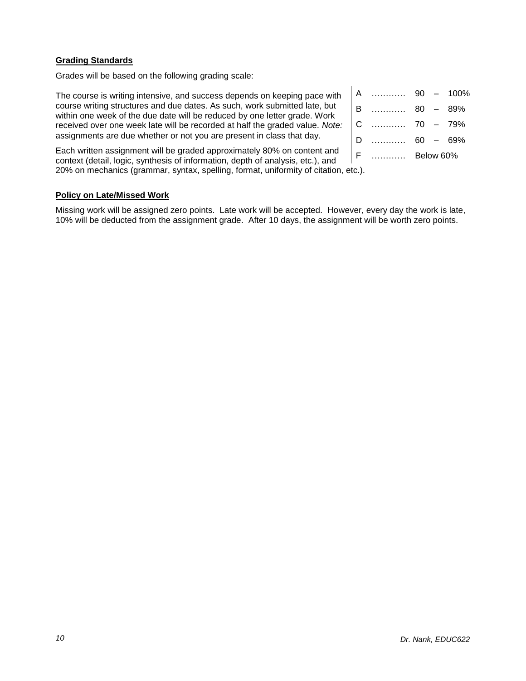## <span id="page-9-0"></span>**Grading Standards**

Grades will be based on the following grading scale:

The course is writing intensive, and success depends on keeping pace with course writing structures and due dates. As such, work submitted late, but within one week of the due date will be reduced by one letter grade. Work received over one week late will be recorded at half the graded value. *Note:* assignments are due whether or not you are present in class that day.

Each written assignment will be graded approximately 80% on content and context (detail, logic, synthesis of information, depth of analysis, etc.), and 20% on mechanics (grammar, syntax, spelling, format, uniformity of citation, etc.).

| A | .                   |           | $90 - 100\%$ |
|---|---------------------|-----------|--------------|
| B | 1.1.1.1.1.1.1.1.1.1 |           | $80 - 89%$   |
| C |                     |           |              |
| D | 1.1.1.1.1.1.1.1.1   |           | $60 - 69%$   |
| F |                     | Below 60% |              |
|   |                     |           |              |

## <span id="page-9-1"></span>**Policy on Late/Missed Work**

Missing work will be assigned zero points. Late work will be accepted. However, every day the work is late, 10% will be deducted from the assignment grade. After 10 days, the assignment will be worth zero points.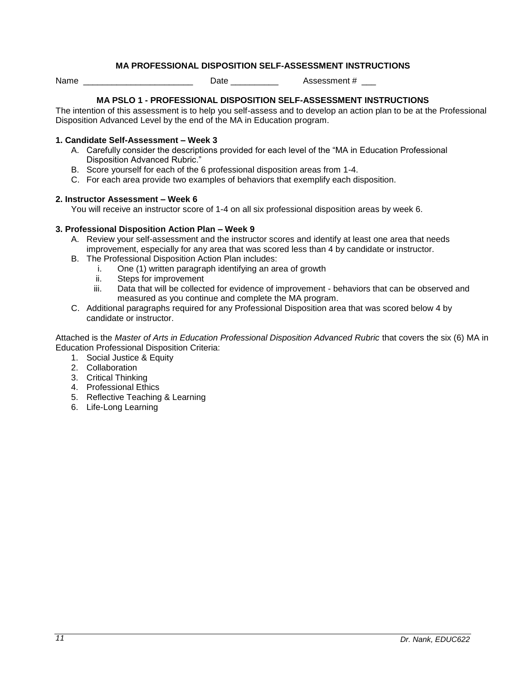## **MA PROFESSIONAL DISPOSITION SELF-ASSESSMENT INSTRUCTIONS**

<span id="page-10-0"></span>Name **Name Name Name Name Name Name Name Name Name Name Name Name N** 

## **MA PSLO 1 - PROFESSIONAL DISPOSITION SELF-ASSESSMENT INSTRUCTIONS**

The intention of this assessment is to help you self-assess and to develop an action plan to be at the Professional Disposition Advanced Level by the end of the MA in Education program.

#### **1. Candidate Self-Assessment – Week 3**

- A. Carefully consider the descriptions provided for each level of the "MA in Education Professional Disposition Advanced Rubric."
- B. Score yourself for each of the 6 professional disposition areas from 1-4.
- C. For each area provide two examples of behaviors that exemplify each disposition.

#### **2. Instructor Assessment – Week 6**

You will receive an instructor score of 1-4 on all six professional disposition areas by week 6.

### **3. Professional Disposition Action Plan – Week 9**

- A. Review your self-assessment and the instructor scores and identify at least one area that needs improvement, especially for any area that was scored less than 4 by candidate or instructor.
- B. The Professional Disposition Action Plan includes:
	- i. One (1) written paragraph identifying an area of growth
	- ii. Steps for improvement
	- iii. Data that will be collected for evidence of improvement behaviors that can be observed and measured as you continue and complete the MA program.
- C. Additional paragraphs required for any Professional Disposition area that was scored below 4 by candidate or instructor.

Attached is the *Master of Arts in Education Professional Disposition Advanced Rubric* that covers the six (6) MA in Education Professional Disposition Criteria:

- 1. Social Justice & Equity
- 2. Collaboration
- 3. Critical Thinking
- 4. Professional Ethics
- 5. Reflective Teaching & Learning
- 6. Life-Long Learning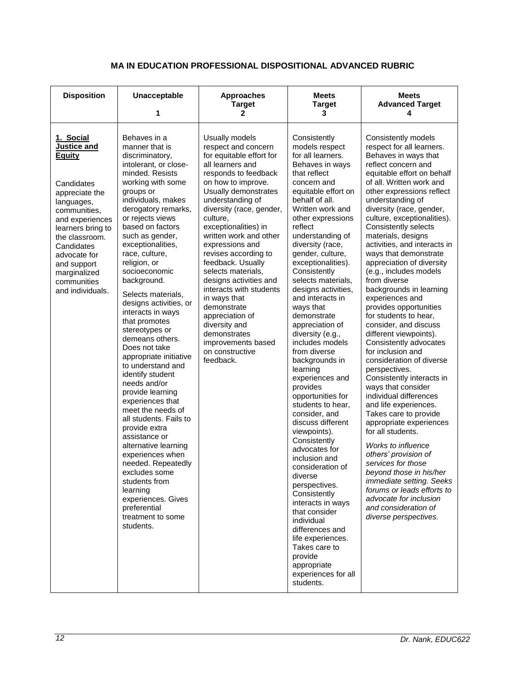<span id="page-11-0"></span>

| <b>Disposition</b>                                                                                                                                                                                                                                                | Unacceptable<br>1                                                                                                                                                                                                                                                                                                                                                                                                                                                                                                                                                                                                                                                                                                                                                                                                                                                              | <b>Approaches</b><br><b>Target</b><br>2                                                                                                                                                                                                                                                                                                                                                                                                                                                                                                                       | <b>Meets</b><br><b>Target</b><br>3                                                                                                                                                                                                                                                                                                                                                                                                                                                                                                                                                                                                                                                                                                                                                                                                                                                                                                    | <b>Meets</b><br><b>Advanced Target</b><br>4                                                                                                                                                                                                                                                                                                                                                                                                                                                                                                                                                                                                                                                                                                                                                                                                                                                                                                                                                                                                                                                                                   |
|-------------------------------------------------------------------------------------------------------------------------------------------------------------------------------------------------------------------------------------------------------------------|--------------------------------------------------------------------------------------------------------------------------------------------------------------------------------------------------------------------------------------------------------------------------------------------------------------------------------------------------------------------------------------------------------------------------------------------------------------------------------------------------------------------------------------------------------------------------------------------------------------------------------------------------------------------------------------------------------------------------------------------------------------------------------------------------------------------------------------------------------------------------------|---------------------------------------------------------------------------------------------------------------------------------------------------------------------------------------------------------------------------------------------------------------------------------------------------------------------------------------------------------------------------------------------------------------------------------------------------------------------------------------------------------------------------------------------------------------|---------------------------------------------------------------------------------------------------------------------------------------------------------------------------------------------------------------------------------------------------------------------------------------------------------------------------------------------------------------------------------------------------------------------------------------------------------------------------------------------------------------------------------------------------------------------------------------------------------------------------------------------------------------------------------------------------------------------------------------------------------------------------------------------------------------------------------------------------------------------------------------------------------------------------------------|-------------------------------------------------------------------------------------------------------------------------------------------------------------------------------------------------------------------------------------------------------------------------------------------------------------------------------------------------------------------------------------------------------------------------------------------------------------------------------------------------------------------------------------------------------------------------------------------------------------------------------------------------------------------------------------------------------------------------------------------------------------------------------------------------------------------------------------------------------------------------------------------------------------------------------------------------------------------------------------------------------------------------------------------------------------------------------------------------------------------------------|
| 1. Social<br>Justice and<br><b>Equity</b><br>Candidates<br>appreciate the<br>languages,<br>communities,<br>and experiences<br>learners bring to<br>the classroom.<br>Candidates<br>advocate for<br>and support<br>marginalized<br>communities<br>and individuals. | Behaves in a<br>manner that is<br>discriminatory,<br>intolerant, or close-<br>minded. Resists<br>working with some<br>groups or<br>individuals, makes<br>derogatory remarks,<br>or rejects views<br>based on factors<br>such as gender,<br>exceptionalities,<br>race, culture,<br>religion, or<br>socioeconomic<br>background.<br>Selects materials,<br>designs activities, or<br>interacts in ways<br>that promotes<br>stereotypes or<br>demeans others.<br>Does not take<br>appropriate initiative<br>to understand and<br>identify student<br>needs and/or<br>provide learning<br>experiences that<br>meet the needs of<br>all students. Fails to<br>provide extra<br>assistance or<br>alternative learning<br>experiences when<br>needed. Repeatedly<br>excludes some<br>students from<br>learning<br>experiences. Gives<br>preferential<br>treatment to some<br>students. | Usually models<br>respect and concern<br>for equitable effort for<br>all learners and<br>responds to feedback<br>on how to improve.<br>Usually demonstrates<br>understanding of<br>diversity (race, gender,<br>culture,<br>exceptionalities) in<br>written work and other<br>expressions and<br>revises according to<br>feedback. Usually<br>selects materials,<br>designs activities and<br>interacts with students<br>in ways that<br>demonstrate<br>appreciation of<br>diversity and<br>demonstrates<br>improvements based<br>on constructive<br>feedback. | Consistently<br>models respect<br>for all learners.<br>Behaves in ways<br>that reflect<br>concern and<br>equitable effort on<br>behalf of all.<br>Written work and<br>other expressions<br>reflect<br>understanding of<br>diversity (race,<br>gender, culture,<br>exceptionalities).<br>Consistently<br>selects materials,<br>designs activities,<br>and interacts in<br>ways that<br>demonstrate<br>appreciation of<br>diversity (e.g.,<br>includes models<br>from diverse<br>backgrounds in<br>learning<br>experiences and<br>provides<br>opportunities for<br>students to hear,<br>consider, and<br>discuss different<br>viewpoints).<br>Consistently<br>advocates for<br>inclusion and<br>consideration of<br>diverse<br>perspectives.<br>Consistently<br>interacts in ways<br>that consider<br>individual<br>differences and<br>life experiences.<br>Takes care to<br>provide<br>appropriate<br>experiences for all<br>students. | Consistently models<br>respect for all learners.<br>Behaves in ways that<br>reflect concern and<br>equitable effort on behalf<br>of all. Written work and<br>other expressions reflect<br>understanding of<br>diversity (race, gender,<br>culture, exceptionalities).<br><b>Consistently selects</b><br>materials, designs<br>activities, and interacts in<br>ways that demonstrate<br>appreciation of diversity<br>(e.g., includes models<br>from diverse<br>backgrounds in learning<br>experiences and<br>provides opportunities<br>for students to hear,<br>consider, and discuss<br>different viewpoints).<br>Consistently advocates<br>for inclusion and<br>consideration of diverse<br>perspectives.<br>Consistently interacts in<br>ways that consider<br>individual differences<br>and life experiences.<br>Takes care to provide<br>appropriate experiences<br>for all students.<br>Works to influence<br>others' provision of<br>services for those<br>beyond those in his/her<br>immediate setting. Seeks<br>forums or leads efforts to<br>advocate for inclusion<br>and consideration of<br>diverse perspectives. |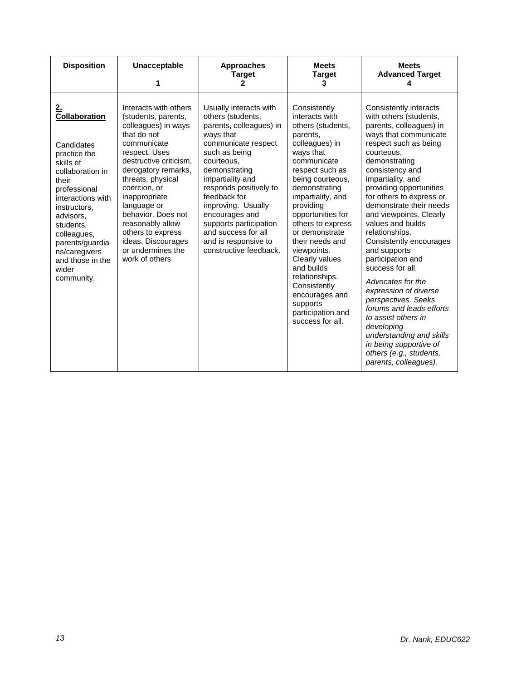| <b>Disposition</b>                                                                                                                                                                                                                                                              | Unacceptable<br>1                                                                                                                                                                                                                                                                                                                                                     | <b>Approaches</b><br><b>Target</b><br>2                                                                                                                                                                                                                                                                                                                             | <b>Meets</b><br><b>Target</b><br>3                                                                                                                                                                                                                                                                                                                                                                                                             | <b>Meets</b><br><b>Advanced Target</b>                                                                                                                                                                                                                                                                                                                                                                                                                                                                                                                                                                                                                                                       |
|---------------------------------------------------------------------------------------------------------------------------------------------------------------------------------------------------------------------------------------------------------------------------------|-----------------------------------------------------------------------------------------------------------------------------------------------------------------------------------------------------------------------------------------------------------------------------------------------------------------------------------------------------------------------|---------------------------------------------------------------------------------------------------------------------------------------------------------------------------------------------------------------------------------------------------------------------------------------------------------------------------------------------------------------------|------------------------------------------------------------------------------------------------------------------------------------------------------------------------------------------------------------------------------------------------------------------------------------------------------------------------------------------------------------------------------------------------------------------------------------------------|----------------------------------------------------------------------------------------------------------------------------------------------------------------------------------------------------------------------------------------------------------------------------------------------------------------------------------------------------------------------------------------------------------------------------------------------------------------------------------------------------------------------------------------------------------------------------------------------------------------------------------------------------------------------------------------------|
| <u>2.</u><br>Collaboration<br>Candidates<br>practice the<br>skills of<br>collaboration in<br>their<br>professional<br>interactions with<br>instructors,<br>advisors,<br>students,<br>colleagues,<br>parents/guardia<br>ns/caregivers<br>and those in the<br>wider<br>community. | Interacts with others<br>(students, parents,<br>colleagues) in ways<br>that do not<br>communicate<br>respect. Uses<br>destructive criticism,<br>derogatory remarks,<br>threats, physical<br>coercion, or<br>inappropriate<br>language or<br>behavior. Does not<br>reasonably allow<br>others to express<br>ideas. Discourages<br>or undermines the<br>work of others. | Usually interacts with<br>others (students,<br>parents, colleagues) in<br>ways that<br>communicate respect<br>such as being<br>courteous,<br>demonstrating<br>impartiality and<br>responds positively to<br>feedback for<br>improving. Usually<br>encourages and<br>supports participation<br>and success for all<br>and is responsive to<br>constructive feedback. | Consistently<br>interacts with<br>others (students,<br>parents,<br>colleagues) in<br>ways that<br>communicate<br>respect such as<br>being courteous,<br>demonstrating<br>impartiality, and<br>providing<br>opportunities for<br>others to express<br>or demonstrate<br>their needs and<br>viewpoints.<br>Clearly values<br>and builds<br>relationships.<br>Consistently<br>encourages and<br>supports<br>participation and<br>success for all. | Consistently interacts<br>with others (students,<br>parents, colleagues) in<br>ways that communicate<br>respect such as being<br>courteous,<br>demonstrating<br>consistency and<br>impartiality, and<br>providing opportunities<br>for others to express or<br>demonstrate their needs<br>and viewpoints. Clearly<br>values and builds<br>relationships.<br>Consistently encourages<br>and supports<br>participation and<br>success for all.<br>Advocates for the<br>expression of diverse<br>perspectives. Seeks<br>forums and leads efforts<br>to assist others in<br>developing<br>understanding and skills<br>in being supportive of<br>others (e.g., students,<br>parents, colleagues). |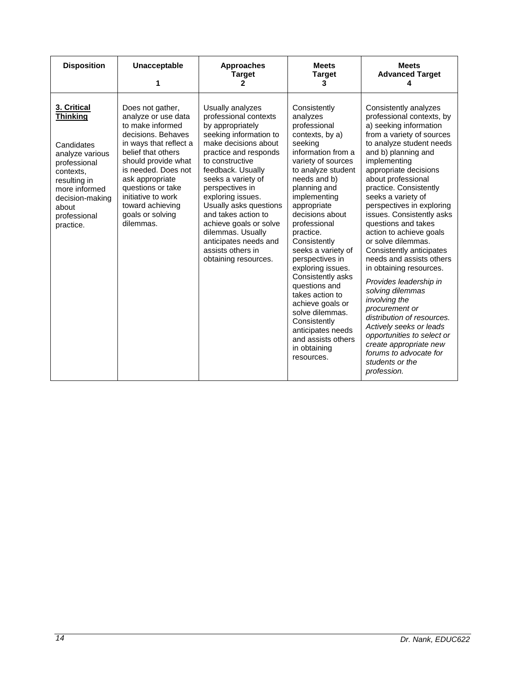| <b>Disposition</b>                                                                                                                                                                     | Unacceptable<br>1                                                                                                                                                                                                                                                                                  | <b>Approaches</b><br><b>Target</b><br>2                                                                                                                                                                                                                                                                                                                                                                              | <b>Meets</b><br><b>Target</b><br>3                                                                                                                                                                                                                                                                                                                                                                                                                                                                                             | <b>Meets</b><br><b>Advanced Target</b>                                                                                                                                                                                                                                                                                                                                                                                                                                                                                                                                                                                                                                                                                                                         |
|----------------------------------------------------------------------------------------------------------------------------------------------------------------------------------------|----------------------------------------------------------------------------------------------------------------------------------------------------------------------------------------------------------------------------------------------------------------------------------------------------|----------------------------------------------------------------------------------------------------------------------------------------------------------------------------------------------------------------------------------------------------------------------------------------------------------------------------------------------------------------------------------------------------------------------|--------------------------------------------------------------------------------------------------------------------------------------------------------------------------------------------------------------------------------------------------------------------------------------------------------------------------------------------------------------------------------------------------------------------------------------------------------------------------------------------------------------------------------|----------------------------------------------------------------------------------------------------------------------------------------------------------------------------------------------------------------------------------------------------------------------------------------------------------------------------------------------------------------------------------------------------------------------------------------------------------------------------------------------------------------------------------------------------------------------------------------------------------------------------------------------------------------------------------------------------------------------------------------------------------------|
| 3. Critical<br><b>Thinking</b><br>Candidates<br>analyze various<br>professional<br>contexts.<br>resulting in<br>more informed<br>decision-making<br>about<br>professional<br>practice. | Does not gather,<br>analyze or use data<br>to make informed<br>decisions. Behaves<br>in ways that reflect a<br>belief that others<br>should provide what<br>is needed. Does not<br>ask appropriate<br>questions or take<br>initiative to work<br>toward achieving<br>goals or solving<br>dilemmas. | Usually analyzes<br>professional contexts<br>by appropriately<br>seeking information to<br>make decisions about<br>practice and responds<br>to constructive<br>feedback. Usually<br>seeks a variety of<br>perspectives in<br>exploring issues.<br>Usually asks questions<br>and takes action to<br>achieve goals or solve<br>dilemmas. Usually<br>anticipates needs and<br>assists others in<br>obtaining resources. | Consistently<br>analyzes<br>professional<br>contexts, by a)<br>seeking<br>information from a<br>variety of sources<br>to analyze student<br>needs and b)<br>planning and<br>implementing<br>appropriate<br>decisions about<br>professional<br>practice.<br>Consistently<br>seeks a variety of<br>perspectives in<br>exploring issues.<br>Consistently asks<br>questions and<br>takes action to<br>achieve goals or<br>solve dilemmas.<br>Consistently<br>anticipates needs<br>and assists others<br>in obtaining<br>resources. | Consistently analyzes<br>professional contexts, by<br>a) seeking information<br>from a variety of sources<br>to analyze student needs<br>and b) planning and<br>implementing<br>appropriate decisions<br>about professional<br>practice. Consistently<br>seeks a variety of<br>perspectives in exploring<br>issues. Consistently asks<br>questions and takes<br>action to achieve goals<br>or solve dilemmas.<br>Consistently anticipates<br>needs and assists others<br>in obtaining resources.<br>Provides leadership in<br>solving dilemmas<br>involving the<br>procurement or<br>distribution of resources.<br>Actively seeks or leads<br>opportunities to select or<br>create appropriate new<br>forums to advocate for<br>students or the<br>profession. |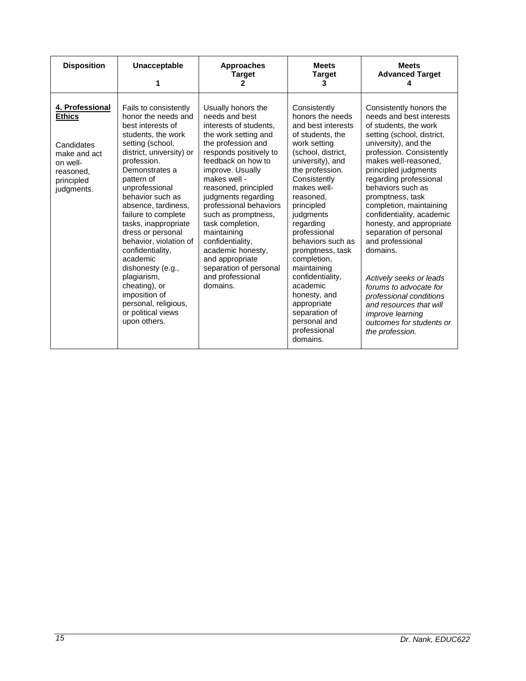| <b>Disposition</b>                                                                                                  | Unacceptable                                                                                                                                                                                                                                                                                                                                                                                                                                                                                                          | <b>Approaches</b><br><b>Target</b><br>2                                                                                                                                                                                                                                                                                                                                                                                                                   | <b>Meets</b><br><b>Target</b><br>3                                                                                                                                                                                                                                                                                                                                                                                                                             | <b>Meets</b><br><b>Advanced Target</b>                                                                                                                                                                                                                                                                                                                                                                                                                                                                                                                                                                               |
|---------------------------------------------------------------------------------------------------------------------|-----------------------------------------------------------------------------------------------------------------------------------------------------------------------------------------------------------------------------------------------------------------------------------------------------------------------------------------------------------------------------------------------------------------------------------------------------------------------------------------------------------------------|-----------------------------------------------------------------------------------------------------------------------------------------------------------------------------------------------------------------------------------------------------------------------------------------------------------------------------------------------------------------------------------------------------------------------------------------------------------|----------------------------------------------------------------------------------------------------------------------------------------------------------------------------------------------------------------------------------------------------------------------------------------------------------------------------------------------------------------------------------------------------------------------------------------------------------------|----------------------------------------------------------------------------------------------------------------------------------------------------------------------------------------------------------------------------------------------------------------------------------------------------------------------------------------------------------------------------------------------------------------------------------------------------------------------------------------------------------------------------------------------------------------------------------------------------------------------|
| 4. Professional<br><b>Ethics</b><br>Candidates<br>make and act<br>on well-<br>reasoned,<br>principled<br>judgments. | Fails to consistently<br>honor the needs and<br>best interests of<br>students, the work<br>setting (school,<br>district, university) or<br>profession.<br>Demonstrates a<br>pattern of<br>unprofessional<br>behavior such as<br>absence, tardiness,<br>failure to complete<br>tasks, inappropriate<br>dress or personal<br>behavior, violation of<br>confidentiality,<br>academic<br>dishonesty (e.g.,<br>plagiarism,<br>cheating), or<br>imposition of<br>personal, religious,<br>or political views<br>upon others. | Usually honors the<br>needs and best<br>interests of students,<br>the work setting and<br>the profession and<br>responds positively to<br>feedback on how to<br>improve. Usually<br>makes well -<br>reasoned, principled<br>judgments regarding<br>professional behaviors<br>such as promptness,<br>task completion,<br>maintaining<br>confidentiality,<br>academic honesty,<br>and appropriate<br>separation of personal<br>and professional<br>domains. | Consistently<br>honors the needs<br>and best interests<br>of students, the<br>work setting<br>(school, district,<br>university), and<br>the profession.<br>Consistently<br>makes well-<br>reasoned,<br>principled<br>judgments<br>regarding<br>professional<br>behaviors such as<br>promptness, task<br>completion,<br>maintaining<br>confidentiality,<br>academic<br>honesty, and<br>appropriate<br>separation of<br>personal and<br>professional<br>domains. | Consistently honors the<br>needs and best interests<br>of students, the work<br>setting (school, district,<br>university), and the<br>profession. Consistently<br>makes well-reasoned,<br>principled judgments<br>regarding professional<br>behaviors such as<br>promptness, task<br>completion, maintaining<br>confidentiality, academic<br>honesty, and appropriate<br>separation of personal<br>and professional<br>domains.<br>Actively seeks or leads<br>forums to advocate for<br>professional conditions<br>and resources that will<br><i>improve learning</i><br>outcomes for students or<br>the profession. |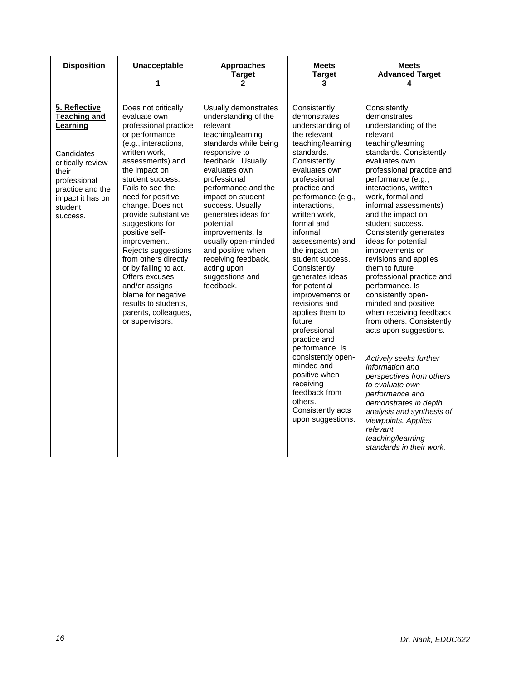| <b>Disposition</b>                                                                                                                                                          | Unacceptable<br>1                                                                                                                                                                                                                                                                                                                                                                                                                                                                                                              | <b>Approaches</b><br><b>Target</b><br>$\mathbf{2}$                                                                                                                                                                                                                                                                                                                                                                      | <b>Meets</b><br><b>Target</b><br>3                                                                                                                                                                                                                                                                                                                                                                                                                                                      | <b>Meets</b><br><b>Advanced Target</b><br>4                                                                                                                                                                                                                                                                                                                                                                                                                                                                                                                                                       |
|-----------------------------------------------------------------------------------------------------------------------------------------------------------------------------|--------------------------------------------------------------------------------------------------------------------------------------------------------------------------------------------------------------------------------------------------------------------------------------------------------------------------------------------------------------------------------------------------------------------------------------------------------------------------------------------------------------------------------|-------------------------------------------------------------------------------------------------------------------------------------------------------------------------------------------------------------------------------------------------------------------------------------------------------------------------------------------------------------------------------------------------------------------------|-----------------------------------------------------------------------------------------------------------------------------------------------------------------------------------------------------------------------------------------------------------------------------------------------------------------------------------------------------------------------------------------------------------------------------------------------------------------------------------------|---------------------------------------------------------------------------------------------------------------------------------------------------------------------------------------------------------------------------------------------------------------------------------------------------------------------------------------------------------------------------------------------------------------------------------------------------------------------------------------------------------------------------------------------------------------------------------------------------|
| 5. Reflective<br><b>Teaching and</b><br>Learning<br>Candidates<br>critically review<br>their<br>professional<br>practice and the<br>impact it has on<br>student<br>success. | Does not critically<br>evaluate own<br>professional practice<br>or performance<br>(e.g., interactions,<br>written work,<br>assessments) and<br>the impact on<br>student success.<br>Fails to see the<br>need for positive<br>change. Does not<br>provide substantive<br>suggestions for<br>positive self-<br>improvement.<br>Rejects suggestions<br>from others directly<br>or by failing to act.<br>Offers excuses<br>and/or assigns<br>blame for negative<br>results to students,<br>parents, colleagues,<br>or supervisors. | Usually demonstrates<br>understanding of the<br>relevant<br>teaching/learning<br>standards while being<br>responsive to<br>feedback. Usually<br>evaluates own<br>professional<br>performance and the<br>impact on student<br>success. Usually<br>generates ideas for<br>potential<br>improvements. Is<br>usually open-minded<br>and positive when<br>receiving feedback,<br>acting upon<br>suggestions and<br>feedback. | Consistently<br>demonstrates<br>understanding of<br>the relevant<br>teaching/learning<br>standards.<br>Consistently<br>evaluates own<br>professional<br>practice and<br>performance (e.g.,<br>interactions,<br>written work,<br>formal and<br>informal<br>assessments) and<br>the impact on<br>student success.<br>Consistently<br>generates ideas<br>for potential<br>improvements or<br>revisions and<br>applies them to<br>future<br>professional<br>practice and<br>performance. Is | Consistently<br>demonstrates<br>understanding of the<br>relevant<br>teaching/learning<br>standards. Consistently<br>evaluates own<br>professional practice and<br>performance (e.g.,<br>interactions, written<br>work, formal and<br>informal assessments)<br>and the impact on<br>student success.<br>Consistently generates<br>ideas for potential<br>improvements or<br>revisions and applies<br>them to future<br>professional practice and<br>performance. Is<br>consistently open-<br>minded and positive<br>when receiving feedback<br>from others. Consistently<br>acts upon suggestions. |
|                                                                                                                                                                             |                                                                                                                                                                                                                                                                                                                                                                                                                                                                                                                                |                                                                                                                                                                                                                                                                                                                                                                                                                         | consistently open-<br>minded and<br>positive when<br>receiving<br>feedback from<br>others.<br>Consistently acts<br>upon suggestions.                                                                                                                                                                                                                                                                                                                                                    | Actively seeks further<br>information and<br>perspectives from others<br>to evaluate own<br>performance and<br>demonstrates in depth<br>analysis and synthesis of<br>viewpoints. Applies<br>relevant<br>teaching/learning<br>standards in their work.                                                                                                                                                                                                                                                                                                                                             |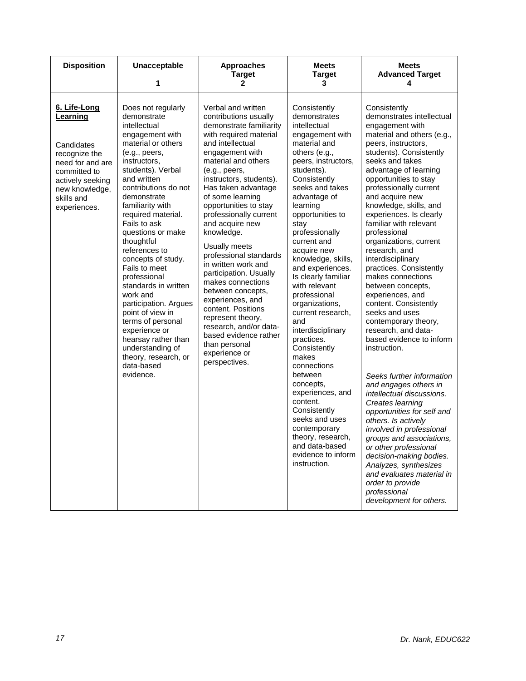| <b>Disposition</b>                                                                                                                                              | Unacceptable<br>1                                                                                                                                                                                                                                                                                                                                                                                                                                                                                                                                                                                | <b>Approaches</b><br><b>Target</b><br>2                                                                                                                                                                                                                                                                                                                                                                                                                                                                                                                                                                                                              | <b>Meets</b><br><b>Target</b><br>3                                                                                                                                                                                                                                                                                                                                                                                                                                                                                                                                                                                                                                                                 | <b>Meets</b><br><b>Advanced Target</b><br>4                                                                                                                                                                                                                                                                                                                                                                                                                                                                                                                                                                                                                                                                                                                                                                                                                                                                                                                                                                                                               |
|-----------------------------------------------------------------------------------------------------------------------------------------------------------------|--------------------------------------------------------------------------------------------------------------------------------------------------------------------------------------------------------------------------------------------------------------------------------------------------------------------------------------------------------------------------------------------------------------------------------------------------------------------------------------------------------------------------------------------------------------------------------------------------|------------------------------------------------------------------------------------------------------------------------------------------------------------------------------------------------------------------------------------------------------------------------------------------------------------------------------------------------------------------------------------------------------------------------------------------------------------------------------------------------------------------------------------------------------------------------------------------------------------------------------------------------------|----------------------------------------------------------------------------------------------------------------------------------------------------------------------------------------------------------------------------------------------------------------------------------------------------------------------------------------------------------------------------------------------------------------------------------------------------------------------------------------------------------------------------------------------------------------------------------------------------------------------------------------------------------------------------------------------------|-----------------------------------------------------------------------------------------------------------------------------------------------------------------------------------------------------------------------------------------------------------------------------------------------------------------------------------------------------------------------------------------------------------------------------------------------------------------------------------------------------------------------------------------------------------------------------------------------------------------------------------------------------------------------------------------------------------------------------------------------------------------------------------------------------------------------------------------------------------------------------------------------------------------------------------------------------------------------------------------------------------------------------------------------------------|
| 6. Life-Long<br>Learning<br>Candidates<br>recognize the<br>need for and are<br>committed to<br>actively seeking<br>new knowledge,<br>skills and<br>experiences. | Does not regularly<br>demonstrate<br>intellectual<br>engagement with<br>material or others<br>(e.g., peers,<br>instructors,<br>students). Verbal<br>and written<br>contributions do not<br>demonstrate<br>familiarity with<br>required material.<br>Fails to ask<br>questions or make<br>thoughtful<br>references to<br>concepts of study.<br>Fails to meet<br>professional<br>standards in written<br>work and<br>participation. Argues<br>point of view in<br>terms of personal<br>experience or<br>hearsay rather than<br>understanding of<br>theory, research, or<br>data-based<br>evidence. | Verbal and written<br>contributions usually<br>demonstrate familiarity<br>with required material<br>and intellectual<br>engagement with<br>material and others<br>(e.g., peers,<br>instructors, students).<br>Has taken advantage<br>of some learning<br>opportunities to stay<br>professionally current<br>and acquire new<br>knowledge.<br>Usually meets<br>professional standards<br>in written work and<br>participation. Usually<br>makes connections<br>between concepts,<br>experiences, and<br>content. Positions<br>represent theory,<br>research, and/or data-<br>based evidence rather<br>than personal<br>experience or<br>perspectives. | Consistently<br>demonstrates<br>intellectual<br>engagement with<br>material and<br>others (e.g.,<br>peers, instructors,<br>students).<br>Consistently<br>seeks and takes<br>advantage of<br>learning<br>opportunities to<br>stay<br>professionally<br>current and<br>acquire new<br>knowledge, skills,<br>and experiences.<br>Is clearly familiar<br>with relevant<br>professional<br>organizations,<br>current research,<br>and<br>interdisciplinary<br>practices.<br>Consistently<br>makes<br>connections<br>between<br>concepts,<br>experiences, and<br>content.<br>Consistently<br>seeks and uses<br>contemporary<br>theory, research,<br>and data-based<br>evidence to inform<br>instruction. | Consistently<br>demonstrates intellectual<br>engagement with<br>material and others (e.g.,<br>peers, instructors,<br>students). Consistently<br>seeks and takes<br>advantage of learning<br>opportunities to stay<br>professionally current<br>and acquire new<br>knowledge, skills, and<br>experiences. Is clearly<br>familiar with relevant<br>professional<br>organizations, current<br>research, and<br>interdisciplinary<br>practices. Consistently<br>makes connections<br>between concepts,<br>experiences, and<br>content. Consistently<br>seeks and uses<br>contemporary theory,<br>research, and data-<br>based evidence to inform<br>instruction.<br>Seeks further information<br>and engages others in<br>intellectual discussions.<br>Creates learning<br>opportunities for self and<br>others. Is actively<br>involved in professional<br>groups and associations.<br>or other professional<br>decision-making bodies.<br>Analyzes, synthesizes<br>and evaluates material in<br>order to provide<br>professional<br>development for others. |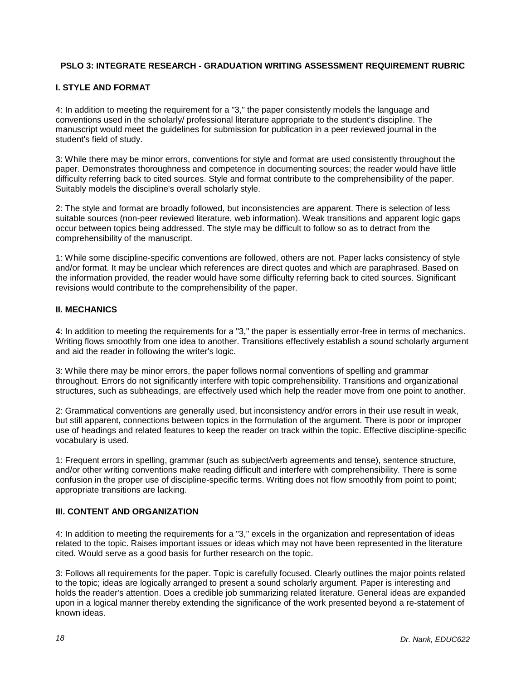# <span id="page-17-0"></span>**PSLO 3: INTEGRATE RESEARCH - GRADUATION WRITING ASSESSMENT REQUIREMENT RUBRIC**

## **I. STYLE AND FORMAT**

4: In addition to meeting the requirement for a "3," the paper consistently models the language and conventions used in the scholarly/ professional literature appropriate to the student's discipline. The manuscript would meet the guidelines for submission for publication in a peer reviewed journal in the student's field of study.

3: While there may be minor errors, conventions for style and format are used consistently throughout the paper. Demonstrates thoroughness and competence in documenting sources; the reader would have little difficulty referring back to cited sources. Style and format contribute to the comprehensibility of the paper. Suitably models the discipline's overall scholarly style.

2: The style and format are broadly followed, but inconsistencies are apparent. There is selection of less suitable sources (non-peer reviewed literature, web information). Weak transitions and apparent logic gaps occur between topics being addressed. The style may be difficult to follow so as to detract from the comprehensibility of the manuscript.

1: While some discipline-specific conventions are followed, others are not. Paper lacks consistency of style and/or format. It may be unclear which references are direct quotes and which are paraphrased. Based on the information provided, the reader would have some difficulty referring back to cited sources. Significant revisions would contribute to the comprehensibility of the paper.

## **II. MECHANICS**

4: In addition to meeting the requirements for a "3," the paper is essentially error-free in terms of mechanics. Writing flows smoothly from one idea to another. Transitions effectively establish a sound scholarly argument and aid the reader in following the writer's logic.

3: While there may be minor errors, the paper follows normal conventions of spelling and grammar throughout. Errors do not significantly interfere with topic comprehensibility. Transitions and organizational structures, such as subheadings, are effectively used which help the reader move from one point to another.

2: Grammatical conventions are generally used, but inconsistency and/or errors in their use result in weak, but still apparent, connections between topics in the formulation of the argument. There is poor or improper use of headings and related features to keep the reader on track within the topic. Effective discipline-specific vocabulary is used.

1: Frequent errors in spelling, grammar (such as subject/verb agreements and tense), sentence structure, and/or other writing conventions make reading difficult and interfere with comprehensibility. There is some confusion in the proper use of discipline-specific terms. Writing does not flow smoothly from point to point; appropriate transitions are lacking.

# **III. CONTENT AND ORGANIZATION**

4: In addition to meeting the requirements for a "3," excels in the organization and representation of ideas related to the topic. Raises important issues or ideas which may not have been represented in the literature cited. Would serve as a good basis for further research on the topic.

3: Follows all requirements for the paper. Topic is carefully focused. Clearly outlines the major points related to the topic; ideas are logically arranged to present a sound scholarly argument. Paper is interesting and holds the reader's attention. Does a credible job summarizing related literature. General ideas are expanded upon in a logical manner thereby extending the significance of the work presented beyond a re-statement of known ideas.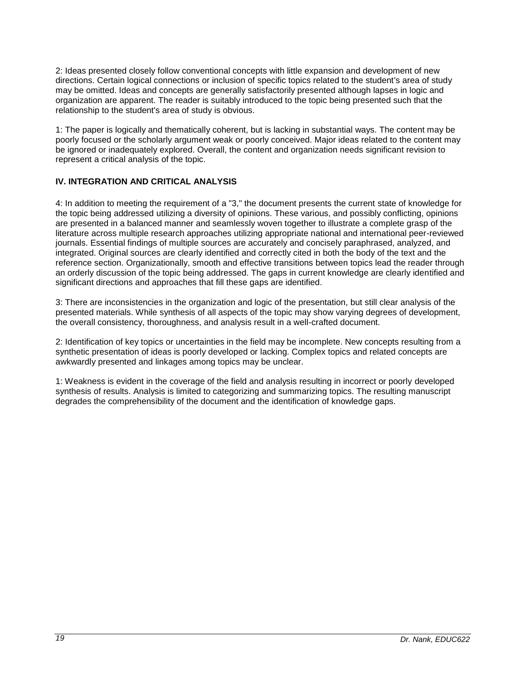2: Ideas presented closely follow conventional concepts with little expansion and development of new directions. Certain logical connections or inclusion of specific topics related to the student's area of study may be omitted. Ideas and concepts are generally satisfactorily presented although lapses in logic and organization are apparent. The reader is suitably introduced to the topic being presented such that the relationship to the student's area of study is obvious.

1: The paper is logically and thematically coherent, but is lacking in substantial ways. The content may be poorly focused or the scholarly argument weak or poorly conceived. Major ideas related to the content may be ignored or inadequately explored. Overall, the content and organization needs significant revision to represent a critical analysis of the topic.

# **IV. INTEGRATION AND CRITICAL ANALYSIS**

4: In addition to meeting the requirement of a "3," the document presents the current state of knowledge for the topic being addressed utilizing a diversity of opinions. These various, and possibly conflicting, opinions are presented in a balanced manner and seamlessly woven together to illustrate a complete grasp of the literature across multiple research approaches utilizing appropriate national and international peer-reviewed journals. Essential findings of multiple sources are accurately and concisely paraphrased, analyzed, and integrated. Original sources are clearly identified and correctly cited in both the body of the text and the reference section. Organizationally, smooth and effective transitions between topics lead the reader through an orderly discussion of the topic being addressed. The gaps in current knowledge are clearly identified and significant directions and approaches that fill these gaps are identified.

3: There are inconsistencies in the organization and logic of the presentation, but still clear analysis of the presented materials. While synthesis of all aspects of the topic may show varying degrees of development, the overall consistency, thoroughness, and analysis result in a well-crafted document.

2: Identification of key topics or uncertainties in the field may be incomplete. New concepts resulting from a synthetic presentation of ideas is poorly developed or lacking. Complex topics and related concepts are awkwardly presented and linkages among topics may be unclear.

1: Weakness is evident in the coverage of the field and analysis resulting in incorrect or poorly developed synthesis of results. Analysis is limited to categorizing and summarizing topics. The resulting manuscript degrades the comprehensibility of the document and the identification of knowledge gaps.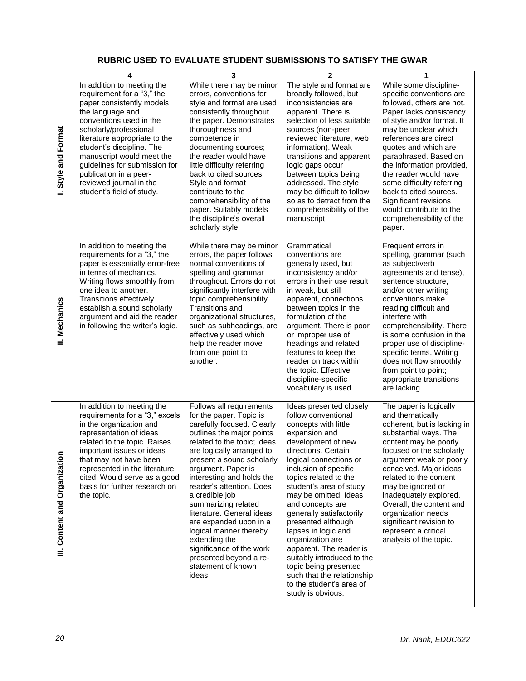# **RUBRIC USED TO EVALUATE STUDENT SUBMISSIONS TO SATISFY THE GWAR**

<span id="page-19-0"></span>

|                                      | 4                                                                                                                                                                                                                                                                                                                                                                            | 3                                                                                                                                                                                                                                                                                                                                                                                                                                                                                                                       | $\overline{2}$                                                                                                                                                                                                                                                                                                                                                                                                                                                                                                                                         | 1                                                                                                                                                                                                                                                                                                                                                                                                                                                 |
|--------------------------------------|------------------------------------------------------------------------------------------------------------------------------------------------------------------------------------------------------------------------------------------------------------------------------------------------------------------------------------------------------------------------------|-------------------------------------------------------------------------------------------------------------------------------------------------------------------------------------------------------------------------------------------------------------------------------------------------------------------------------------------------------------------------------------------------------------------------------------------------------------------------------------------------------------------------|--------------------------------------------------------------------------------------------------------------------------------------------------------------------------------------------------------------------------------------------------------------------------------------------------------------------------------------------------------------------------------------------------------------------------------------------------------------------------------------------------------------------------------------------------------|---------------------------------------------------------------------------------------------------------------------------------------------------------------------------------------------------------------------------------------------------------------------------------------------------------------------------------------------------------------------------------------------------------------------------------------------------|
| Style and Format<br>∸                | In addition to meeting the<br>requirement for a "3," the<br>paper consistently models<br>the language and<br>conventions used in the<br>scholarly/professional<br>literature appropriate to the<br>student's discipline. The<br>manuscript would meet the<br>guidelines for submission for<br>publication in a peer-<br>reviewed journal in the<br>student's field of study. | While there may be minor<br>errors, conventions for<br>style and format are used<br>consistently throughout<br>the paper. Demonstrates<br>thoroughness and<br>competence in<br>documenting sources;<br>the reader would have<br>little difficulty referring<br>back to cited sources.<br>Style and format<br>contribute to the<br>comprehensibility of the<br>paper. Suitably models<br>the discipline's overall<br>scholarly style.                                                                                    | The style and format are<br>broadly followed, but<br>inconsistencies are<br>apparent. There is<br>selection of less suitable<br>sources (non-peer<br>reviewed literature, web<br>information). Weak<br>transitions and apparent<br>logic gaps occur<br>between topics being<br>addressed. The style<br>may be difficult to follow<br>so as to detract from the<br>comprehensibility of the<br>manuscript.                                                                                                                                              | While some discipline-<br>specific conventions are<br>followed, others are not.<br>Paper lacks consistency<br>of style and/or format. It<br>may be unclear which<br>references are direct<br>quotes and which are<br>paraphrased. Based on<br>the information provided,<br>the reader would have<br>some difficulty referring<br>back to cited sources.<br>Significant revisions<br>would contribute to the<br>comprehensibility of the<br>paper. |
| II. Mechanics                        | In addition to meeting the<br>requirements for a "3," the<br>paper is essentially error-free<br>in terms of mechanics.<br>Writing flows smoothly from<br>one idea to another.<br><b>Transitions effectively</b><br>establish a sound scholarly<br>argument and aid the reader<br>in following the writer's logic.                                                            | While there may be minor<br>errors, the paper follows<br>normal conventions of<br>spelling and grammar<br>throughout. Errors do not<br>significantly interfere with<br>topic comprehensibility.<br><b>Transitions and</b><br>organizational structures,<br>such as subheadings, are<br>effectively used which<br>help the reader move<br>from one point to<br>another.                                                                                                                                                  | Grammatical<br>conventions are<br>generally used, but<br>inconsistency and/or<br>errors in their use result<br>in weak, but still<br>apparent, connections<br>between topics in the<br>formulation of the<br>argument. There is poor<br>or improper use of<br>headings and related<br>features to keep the<br>reader on track within<br>the topic. Effective<br>discipline-specific<br>vocabulary is used.                                                                                                                                             | Frequent errors in<br>spelling, grammar (such<br>as subject/verb<br>agreements and tense),<br>sentence structure,<br>and/or other writing<br>conventions make<br>reading difficult and<br>interfere with<br>comprehensibility. There<br>is some confusion in the<br>proper use of discipline-<br>specific terms. Writing<br>does not flow smoothly<br>from point to point;<br>appropriate transitions<br>are lacking.                             |
| Content and Organization<br>$\equiv$ | In addition to meeting the<br>requirements for a "3," excels<br>in the organization and<br>representation of ideas<br>related to the topic. Raises<br>important issues or ideas<br>that may not have been<br>represented in the literature<br>cited. Would serve as a good<br>basis for further research on<br>the topic.                                                    | Follows all requirements<br>for the paper. Topic is<br>carefully focused. Clearly<br>outlines the major points<br>related to the topic; ideas<br>are logically arranged to<br>present a sound scholarly<br>argument. Paper is<br>interesting and holds the<br>reader's attention. Does<br>a credible job<br>summarizing related<br>literature. General ideas<br>are expanded upon in a<br>logical manner thereby<br>extending the<br>significance of the work<br>presented beyond a re-<br>statement of known<br>ideas. | Ideas presented closely<br>follow conventional<br>concepts with little<br>expansion and<br>development of new<br>directions. Certain<br>logical connections or<br>inclusion of specific<br>topics related to the<br>student's area of study<br>may be omitted. Ideas<br>and concepts are<br>generally satisfactorily<br>presented although<br>lapses in logic and<br>organization are<br>apparent. The reader is<br>suitably introduced to the<br>topic being presented<br>such that the relationship<br>to the student's area of<br>study is obvious. | The paper is logically<br>and thematically<br>coherent, but is lacking in<br>substantial ways. The<br>content may be poorly<br>focused or the scholarly<br>argument weak or poorly<br>conceived. Major ideas<br>related to the content<br>may be ignored or<br>inadequately explored.<br>Overall, the content and<br>organization needs<br>significant revision to<br>represent a critical<br>analysis of the topic.                              |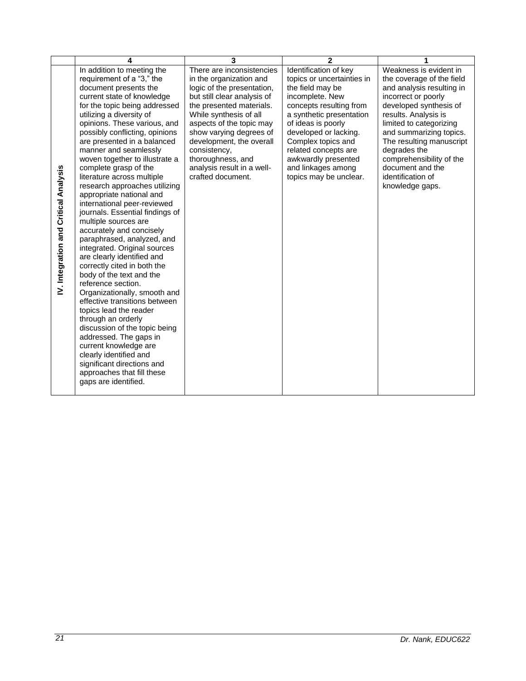|                                       | 4                                                                                                                                                                                                                                                                                                                                                                                                                                                                                                                                                                                                                                                                                                                                                                                                                                                                                                                                                                                                                                                                                 | 3                                                                                                                                                                                                                                                                                                                                                  | $\mathbf{2}$                                                                                                                                                                                                                                                                                                          | 1                                                                                                                                                                                                                                                                                                                                                   |
|---------------------------------------|-----------------------------------------------------------------------------------------------------------------------------------------------------------------------------------------------------------------------------------------------------------------------------------------------------------------------------------------------------------------------------------------------------------------------------------------------------------------------------------------------------------------------------------------------------------------------------------------------------------------------------------------------------------------------------------------------------------------------------------------------------------------------------------------------------------------------------------------------------------------------------------------------------------------------------------------------------------------------------------------------------------------------------------------------------------------------------------|----------------------------------------------------------------------------------------------------------------------------------------------------------------------------------------------------------------------------------------------------------------------------------------------------------------------------------------------------|-----------------------------------------------------------------------------------------------------------------------------------------------------------------------------------------------------------------------------------------------------------------------------------------------------------------------|-----------------------------------------------------------------------------------------------------------------------------------------------------------------------------------------------------------------------------------------------------------------------------------------------------------------------------------------------------|
| IV. Integration and Critical Analysis | In addition to meeting the<br>requirement of a "3," the<br>document presents the<br>current state of knowledge<br>for the topic being addressed<br>utilizing a diversity of<br>opinions. These various, and<br>possibly conflicting, opinions<br>are presented in a balanced<br>manner and seamlessly<br>woven together to illustrate a<br>complete grasp of the<br>literature across multiple<br>research approaches utilizing<br>appropriate national and<br>international peer-reviewed<br>journals. Essential findings of<br>multiple sources are<br>accurately and concisely<br>paraphrased, analyzed, and<br>integrated. Original sources<br>are clearly identified and<br>correctly cited in both the<br>body of the text and the<br>reference section.<br>Organizationally, smooth and<br>effective transitions between<br>topics lead the reader<br>through an orderly<br>discussion of the topic being<br>addressed. The gaps in<br>current knowledge are<br>clearly identified and<br>significant directions and<br>approaches that fill these<br>gaps are identified. | There are inconsistencies<br>in the organization and<br>logic of the presentation,<br>but still clear analysis of<br>the presented materials.<br>While synthesis of all<br>aspects of the topic may<br>show varying degrees of<br>development, the overall<br>consistency,<br>thoroughness, and<br>analysis result in a well-<br>crafted document. | Identification of key<br>topics or uncertainties in<br>the field may be<br>incomplete. New<br>concepts resulting from<br>a synthetic presentation<br>of ideas is poorly<br>developed or lacking.<br>Complex topics and<br>related concepts are<br>awkwardly presented<br>and linkages among<br>topics may be unclear. | Weakness is evident in<br>the coverage of the field<br>and analysis resulting in<br>incorrect or poorly<br>developed synthesis of<br>results. Analysis is<br>limited to categorizing<br>and summarizing topics.<br>The resulting manuscript<br>degrades the<br>comprehensibility of the<br>document and the<br>identification of<br>knowledge gaps. |